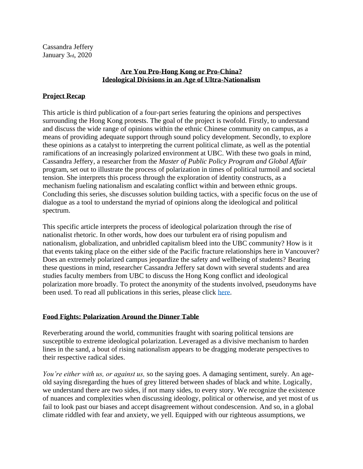Cassandra Jeffery January 3rd, 2020

# **Are You Pro-Hong Kong or Pro-China? Ideological Divisions in an Age of Ultra-Nationalism**

### **Project Recap**

This article is third publication of a four-part series featuring the opinions and perspectives surrounding the Hong Kong protests. The goal of the project is twofold. Firstly, to understand and discuss the wide range of opinions within the ethnic Chinese community on campus, as a means of providing adequate support through sound policy development. Secondly, to explore these opinions as a catalyst to interpreting the current political climate, as well as the potential ramifications of an increasingly polarized environment at UBC. With these two goals in mind, Cassandra Jeffery, a researcher from the *Master of Public Policy Program and Global Affair* program, set out to illustrate the process of polarization in times of political turmoil and societal tension. She interprets this process through the exploration of identity constructs, as a mechanism fueling nationalism and escalating conflict within and between ethnic groups. Concluding this series, she discusses solution building tactics, with a specific focus on the use of dialogue as a tool to understand the myriad of opinions along the ideological and political spectrum.

This specific article interprets the process of ideological polarization through the rise of nationalist rhetoric. In other words, how does our turbulent era of rising populism and nationalism, globalization, and unbridled capitalism bleed into the UBC community? How is it that events taking place on the either side of the Pacific fracture relationships here in Vancouver? Does an extremely polarized campus jeopardize the safety and wellbeing of students? Bearing these questions in mind, researcher Cassandra Jeffery sat down with several students and area studies faculty members from UBC to discuss the Hong Kong conflict and ideological polarization more broadly. To protect the anonymity of the students involved, pseudonyms have been used. To read all publications in this series, please click [here.](https://sppga.ubc.ca/news/hong-kong-contextualized-exploring-conflict-through-students-lens)

#### **Food Fights: Polarization Around the Dinner Table**

Reverberating around the world, communities fraught with soaring political tensions are susceptible to extreme ideological polarization. Leveraged as a divisive mechanism to harden lines in the sand, a bout of rising nationalism appears to be dragging moderate perspectives to their respective radical sides.

*You're either with us, or against us,* so the saying goes. A damaging sentiment, surely. An ageold saying disregarding the hues of grey littered between shades of black and white. Logically, we understand there are two sides, if not many sides, to every story. We recognize the existence of nuances and complexities when discussing ideology, political or otherwise, and yet most of us fail to look past our biases and accept disagreement without condescension. And so, in a global climate riddled with fear and anxiety, we yell. Equipped with our righteous assumptions, we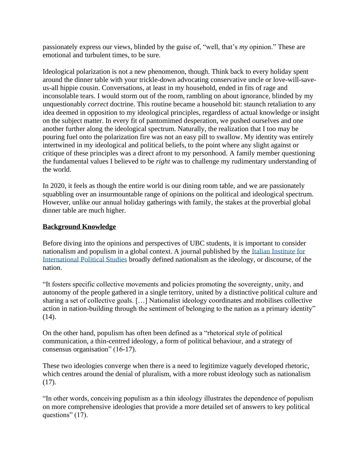passionately express our views, blinded by the guise of, "well, that's *my* opinion." These are emotional and turbulent times, to be sure.

Ideological polarization is not a new phenomenon, though. Think back to every holiday spent around the dinner table with your trickle-down advocating conservative uncle or love-will-saveus-all hippie cousin. Conversations, at least in my household, ended in fits of rage and inconsolable tears. I would storm out of the room, rambling on about ignorance, blinded by my unquestionably *correct* doctrine. This routine became a household bit: staunch retaliation to any idea deemed in opposition to my ideological principles, regardless of actual knowledge or insight on the subject matter. In every fit of pantomimed desperation, we pushed ourselves and one another further along the ideological spectrum. Naturally, the realization that I too may be pouring fuel onto the polarization fire was not an easy pill to swallow. My identity was entirely intertwined in my ideological and political beliefs, to the point where any slight against or critique of these principles was a direct afront to my personhood. A family member questioning the fundamental values I believed to be *right* was to challenge my rudimentary understanding of the world.

In 2020, it feels as though the entire world is our dining room table, and we are passionately squabbling over an insurmountable range of opinions on the political and ideological spectrum. However, unlike our annual holiday gatherings with family, the stakes at the proverbial global dinner table are much higher.

### **Background Knowledge**

Before diving into the opinions and perspectives of UBC students, it is important to consider nationalism and populism in a global context. A journal published by the [Italian Institute for](https://www.ispionline.it/en/pubblicazione/when-populism-meets-nationalism-21764)  [International Political Studies](https://www.ispionline.it/en/pubblicazione/when-populism-meets-nationalism-21764) broadly defined nationalism as the ideology, or discourse, of the nation.

"It fosters specific collective movements and policies promoting the sovereignty, unity, and autonomy of the people gathered in a single territory, united by a distinctive political culture and sharing a set of collective goals. […] Nationalist ideology coordinates and mobilises collective action in nation-building through the sentiment of belonging to the nation as a primary identity"  $(14)$ .

On the other hand, populism has often been defined as a "rhetorical style of political communication, a thin-centred ideology, a form of political behaviour, and a strategy of consensus organisation" (16-17).

These two ideologies converge when there is a need to legitimize vaguely developed rhetoric, which centres around the denial of pluralism, with a more robust ideology such as nationalism (17).

"In other words, conceiving populism as a thin ideology illustrates the dependence of populism on more comprehensive ideologies that provide a more detailed set of answers to key political questions" (17).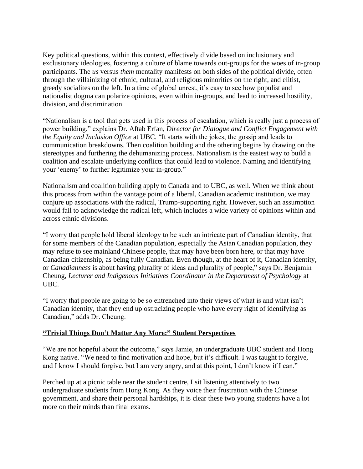Key political questions, within this context, effectively divide based on inclusionary and exclusionary ideologies, fostering a culture of blame towards out-groups for the woes of in-group participants. The *us* versus *them* mentality manifests on both sides of the political divide, often through the villainizing of ethnic, cultural, and religious minorities on the right, and elitist, greedy socialites on the left. In a time of global unrest, it's easy to see how populist and nationalist dogma can polarize opinions, even within in-groups, and lead to increased hostility, division, and discrimination.

"Nationalism is a tool that gets used in this process of escalation, which is really just a process of power building," explains Dr. Aftab Erfan, *Director for Dialogue and Conflict Engagement with the Equity and Inclusion Office* at UBC. "It starts with the jokes, the gossip and leads to communication breakdowns. Then coalition building and the othering begins by drawing on the stereotypes and furthering the dehumanizing process. Nationalism is the easiest way to build a coalition and escalate underlying conflicts that could lead to violence. Naming and identifying your 'enemy' to further legitimize your in-group."

Nationalism and coalition building apply to Canada and to UBC, as well. When we think about this process from within the vantage point of a liberal, Canadian academic institution, we may conjure up associations with the radical, Trump-supporting right. However, such an assumption would fail to acknowledge the radical left, which includes a wide variety of opinions within and across ethnic divisions.

"I worry that people hold liberal ideology to be such an intricate part of Canadian identity, that for some members of the Canadian population, especially the Asian Canadian population, they may refuse to see mainland Chinese people, that may have been born here, or that may have Canadian citizenship, as being fully Canadian. Even though, at the heart of it, Canadian identity, or *Canadianness* is about having plurality of ideas and plurality of people," says Dr. Benjamin Cheung, *Lecturer and Indigenous Initiatives Coordinator in the Department of Psychology* at UBC*.* 

"I worry that people are going to be so entrenched into their views of what is and what isn't Canadian identity, that they end up ostracizing people who have every right of identifying as Canadian," adds Dr. Cheung.

## **"Trivial Things Don't Matter Any More:" Student Perspectives**

"We are not hopeful about the outcome," says Jamie, an undergraduate UBC student and Hong Kong native. "We need to find motivation and hope, but it's difficult. I was taught to forgive, and I know I should forgive, but I am very angry, and at this point, I don't know if I can."

Perched up at a picnic table near the student centre, I sit listening attentively to two undergraduate students from Hong Kong. As they voice their frustration with the Chinese government, and share their personal hardships, it is clear these two young students have a lot more on their minds than final exams.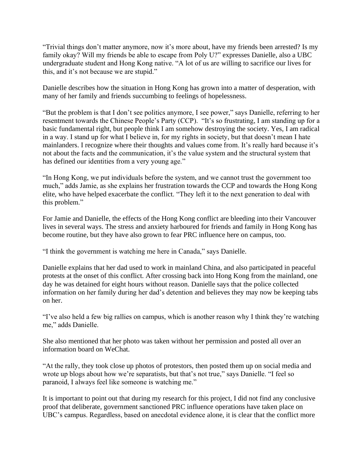"Trivial things don't matter anymore, now it's more about, have my friends been arrested? Is my family okay? Will my friends be able to escape from Poly U?" expresses Danielle, also a UBC undergraduate student and Hong Kong native. "A lot of us are willing to sacrifice our lives for this, and it's not because we are stupid."

Danielle describes how the situation in Hong Kong has grown into a matter of desperation, with many of her family and friends succumbing to feelings of hopelessness.

"But the problem is that I don't see politics anymore, I see power," says Danielle, referring to her resentment towards the Chinese People's Party (CCP). "It's so frustrating, I am standing up for a basic fundamental right, but people think I am somehow destroying the society. Yes, I am radical in a way. I stand up for what I believe in, for my rights in society, but that doesn't mean I hate mainlanders. I recognize where their thoughts and values come from. It's really hard because it's not about the facts and the communication, it's the value system and the structural system that has defined our identities from a very young age."

"In Hong Kong, we put individuals before the system, and we cannot trust the government too much," adds Jamie, as she explains her frustration towards the CCP and towards the Hong Kong elite, who have helped exacerbate the conflict. "They left it to the next generation to deal with this problem."

For Jamie and Danielle, the effects of the Hong Kong conflict are bleeding into their Vancouver lives in several ways. The stress and anxiety harboured for friends and family in Hong Kong has become routine, but they have also grown to fear PRC influence here on campus, too.

"I think the government is watching me here in Canada," says Danielle.

Danielle explains that her dad used to work in mainland China, and also participated in peaceful protests at the onset of this conflict. After crossing back into Hong Kong from the mainland, one day he was detained for eight hours without reason. Danielle says that the police collected information on her family during her dad's detention and believes they may now be keeping tabs on her.

"I've also held a few big rallies on campus, which is another reason why I think they're watching me," adds Danielle.

She also mentioned that her photo was taken without her permission and posted all over an information board on WeChat.

"At the rally, they took close up photos of protestors, then posted them up on social media and wrote up blogs about how we're separatists, but that's not true," says Danielle. "I feel so paranoid, I always feel like someone is watching me."

It is important to point out that during my research for this project, I did not find any conclusive proof that deliberate, government sanctioned PRC influence operations have taken place on UBC's campus. Regardless, based on anecdotal evidence alone, it is clear that the conflict more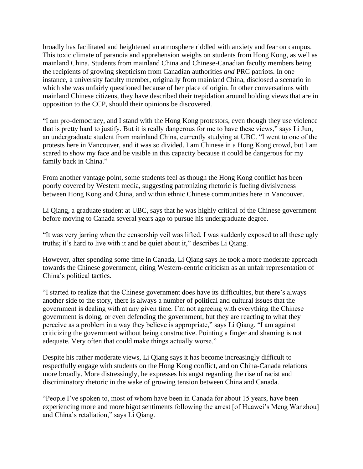broadly has facilitated and heightened an atmosphere riddled with anxiety and fear on campus. This toxic climate of paranoia and apprehension weighs on students from Hong Kong, as well as mainland China. Students from mainland China and Chinese-Canadian faculty members being the recipients of growing skepticism from Canadian authorities *and* PRC patriots. In one instance, a university faculty member, originally from mainland China, disclosed a scenario in which she was unfairly questioned because of her place of origin. In other conversations with mainland Chinese citizens, they have described their trepidation around holding views that are in opposition to the CCP, should their opinions be discovered.

"I am pro-democracy, and I stand with the Hong Kong protestors, even though they use violence that is pretty hard to justify. But it is really dangerous for me to have these views," says Li Jun, an undergraduate student from mainland China, currently studying at UBC. "I went to one of the protests here in Vancouver, and it was so divided. I am Chinese in a Hong Kong crowd, but I am scared to show my face and be visible in this capacity because it could be dangerous for my family back in China."

From another vantage point, some students feel as though the Hong Kong conflict has been poorly covered by Western media, suggesting patronizing rhetoric is fueling divisiveness between Hong Kong and China, and within ethnic Chinese communities here in Vancouver.

Li Qiang, a graduate student at UBC, says that he was highly critical of the Chinese government before moving to Canada several years ago to pursue his undergraduate degree.

"It was very jarring when the censorship veil was lifted, I was suddenly exposed to all these ugly truths; it's hard to live with it and be quiet about it," describes Li Qiang.

However, after spending some time in Canada, Li Qiang says he took a more moderate approach towards the Chinese government, citing Western-centric criticism as an unfair representation of China's political tactics.

"I started to realize that the Chinese government does have its difficulties, but there's always another side to the story, there is always a number of political and cultural issues that the government is dealing with at any given time. I'm not agreeing with everything the Chinese government is doing, or even defending the government, but they are reacting to what they perceive as a problem in a way they believe is appropriate," says Li Qiang. "I am against criticizing the government without being constructive. Pointing a finger and shaming is not adequate. Very often that could make things actually worse."

Despite his rather moderate views, Li Qiang says it has become increasingly difficult to respectfully engage with students on the Hong Kong conflict, and on China-Canada relations more broadly. More distressingly, he expresses his angst regarding the rise of racist and discriminatory rhetoric in the wake of growing tension between China and Canada.

"People I've spoken to, most of whom have been in Canada for about 15 years, have been experiencing more and more bigot sentiments following the arrest [of Huawei's Meng Wanzhou] and China's retaliation," says Li Qiang.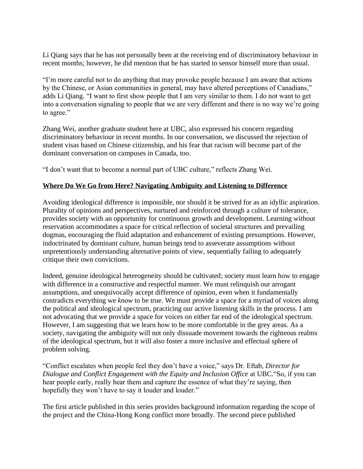Li Qiang says that he has not personally been at the receiving end of discriminatory behaviour in recent months; however, he did mention that he has started to sensor himself more than usual.

"I'm more careful not to do anything that may provoke people because I am aware that actions by the Chinese, or Asian communities in general, may have altered perceptions of Canadians," adds Li Qiang. "I want to first show people that I am very similar to them. I do not want to get into a conversation signaling to people that we are very different and there is no way we're going to agree."

Zhang Wei, another graduate student here at UBC, also expressed his concern regarding discriminatory behaviour in recent months. In our conversation, we discussed the rejection of student visas based on Chinese citizenship, and his fear that racism will become part of the dominant conversation on campuses in Canada, too.

"I don't want that to become a normal part of UBC culture," reflects Zhang Wei.

## **Where Do We Go from Here? Navigating Ambiguity and Listening to Difference**

Avoiding ideological difference is impossible, nor should it be strived for as an idyllic aspiration. Plurality of opinions and perspectives, nurtured and reinforced through a culture of tolerance, provides society with an opportunity for continuous growth and development. Learning without reservation accommodates a space for critical reflection of societal structures and prevailing dogmas, encouraging the fluid adaptation and enhancement of existing presumptions. However, indoctrinated by dominant culture, human beings tend to asseverate assumptions without unpretentiously understanding alternative points of view, sequentially failing to adequately critique their own convictions.

Indeed, genuine ideological heterogeneity should be cultivated; society must learn how to engage with difference in a constructive and respectful manner. We must relinquish our arrogant assumptions, and unequivocally accept difference of opinion, even when it fundamentally contradicts everything we *know* to be true. We must provide a space for a myriad of voices along the political and ideological spectrum, practicing our active listening skills in the process. I am not advocating that we provide a space for voices on either far end of the ideological spectrum. However, I am suggesting that we learn how to be more comfortable in the grey areas. As a society, navigating the ambiguity will not only dissuade movement towards the righteous realms of the ideological spectrum, but it will also foster a more inclusive and effectual sphere of problem solving.

"Conflict escalates when people feel they don't have a voice," says Dr. Eftab, *Director for Dialogue and Conflict Engagement with the Equity and Inclusion Office* at UBC."So, if you can hear people early, really hear them and capture the essence of what they're saying, then hopefully they won't have to say it louder and louder."

The first article published in this series provides background information regarding the scope of the project and the China-Hong Kong conflict more broadly. The second piece published